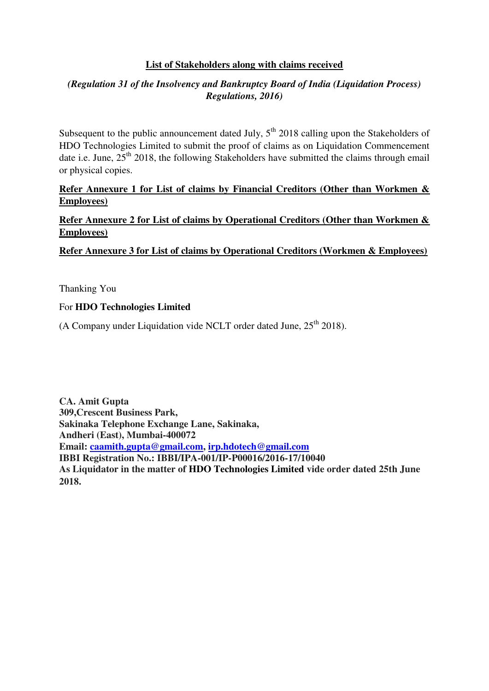### **List of Stakeholders along with claims received**

### *(Regulation 31 of the Insolvency and Bankruptcy Board of India (Liquidation Process) Regulations, 2016)*

Subsequent to the public announcement dated July,  $5<sup>th</sup>$  2018 calling upon the Stakeholders of HDO Technologies Limited to submit the proof of claims as on Liquidation Commencement date i.e. June,  $25<sup>th</sup> 2018$ , the following Stakeholders have submitted the claims through email or physical copies.

### **Refer Annexure 1 for List of claims by Financial Creditors (Other than Workmen & Employees)**

**Refer Annexure 2 for List of claims by Operational Creditors (Other than Workmen & Employees)** 

**Refer Annexure 3 for List of claims by Operational Creditors (Workmen & Employees)** 

Thanking You

### For **HDO Technologies Limited**

(A Company under Liquidation vide NCLT order dated June,  $25<sup>th</sup> 2018$ ).

**CA. Amit Gupta 309,Crescent Business Park, Sakinaka Telephone Exchange Lane, Sakinaka, Andheri (East), Mumbai-400072 Email: [caamith.gupta@gmail.com,](mailto:caamith.gupta@gmail.com) [irp.hdotech@gmail.com](mailto:irp.hdotech@gmail.com) IBBI Registration No.: IBBI/IPA-001/IP-P00016/2016-17/10040 As Liquidator in the matter of HDO Technologies Limited vide order dated 25th June 2018.**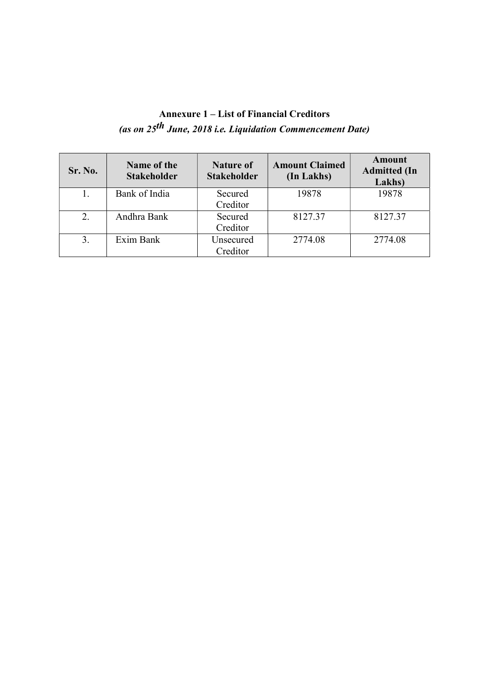# Annexure 1 – List of Financial Creditors (as on  $25^{th}$  June, 2018 i.e. Liquidation Commencement Date)

| Sr. No. | Name of the<br><b>Stakeholder</b> | <b>Nature of</b><br><b>Stakeholder</b> | <b>Amount Claimed</b><br>(In Lakhs) | Amount<br><b>Admitted</b> (In<br>Lakhs) |
|---------|-----------------------------------|----------------------------------------|-------------------------------------|-----------------------------------------|
|         | Bank of India                     | Secured                                | 19878                               | 19878                                   |
|         |                                   | Creditor                               |                                     |                                         |
| 2.      | Andhra Bank                       | Secured                                | 8127.37                             | 8127.37                                 |
|         |                                   | Creditor                               |                                     |                                         |
| 3.      | Exim Bank                         | Unsecured                              | 2774.08                             | 2774.08                                 |
|         |                                   | Creditor                               |                                     |                                         |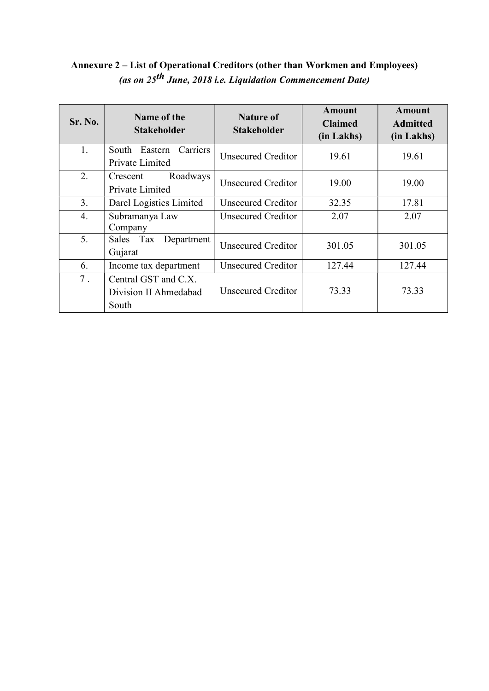### Annexure 2 – List of Operational Creditors (other than Workmen and Employees) (as on 25th June, 2018 i.e. Liquidation Commencement Date)

| Sr. No. | Name of the<br><b>Stakeholder</b>                      | <b>Nature of</b><br>Stakeholder | <b>Amount</b><br><b>Claimed</b><br>(in Lakhs) | Amount<br><b>Admitted</b><br>(in Lakhs) |
|---------|--------------------------------------------------------|---------------------------------|-----------------------------------------------|-----------------------------------------|
| 1.      | Carriers<br>Eastern<br>South<br>Private Limited        | Unsecured Creditor              | 19.61                                         | 19.61                                   |
| 2.      | Roadways<br>Crescent<br>Private Limited                | <b>Unsecured Creditor</b>       | 19.00                                         | 19.00                                   |
| 3.      | Darcl Logistics Limited                                | Unsecured Creditor              | 32.35                                         | 17.81                                   |
| 4.      | Subramanya Law<br>Company                              | Unsecured Creditor              | 2.07                                          | 2.07                                    |
| 5.      | Sales Tax Department<br>Gujarat                        | Unsecured Creditor              | 301.05                                        | 301.05                                  |
| 6.      | Income tax department                                  | <b>Unsecured Creditor</b>       | 127.44                                        | 127.44                                  |
| $7$ .   | Central GST and C.X.<br>Division II Ahmedabad<br>South | <b>Unsecured Creditor</b>       | 73.33                                         | 73.33                                   |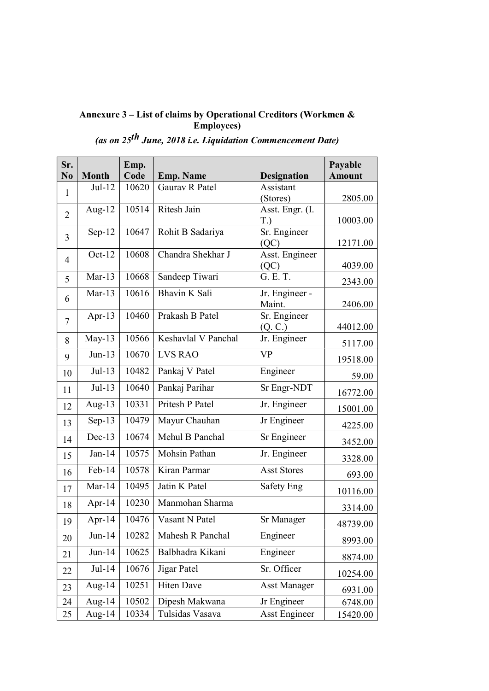#### Annexure 3 – List of claims by Operational Creditors (Workmen & Employees)

## (as on 25th June, 2018 i.e. Liquidation Commencement Date)

| Sr.            |              | Emp.  |                     |                      | Payable       |
|----------------|--------------|-------|---------------------|----------------------|---------------|
| No             | <b>Month</b> | Code  | <b>Emp. Name</b>    | <b>Designation</b>   | <b>Amount</b> |
| $\mathbf{1}$   | $Jul-12$     | 10620 | Gaurav R Patel      | Assistant            |               |
|                |              |       |                     | (Stores)             | 2805.00       |
| $\overline{2}$ | Aug- $12$    | 10514 | Ritesh Jain         | Asst. Engr. (I.      |               |
|                |              |       |                     | T.                   | 10003.00      |
| 3              | $Sep-12$     | 10647 | Rohit B Sadariya    | Sr. Engineer         |               |
|                |              |       |                     | (QC)                 | 12171.00      |
| $\overline{4}$ | $Oct-12$     | 10608 | Chandra Shekhar J   | Asst. Engineer       |               |
|                |              |       |                     | (QC)                 | 4039.00       |
| 5              | $Mar-13$     | 10668 | Sandeep Tiwari      | G. E. T.             | 2343.00       |
| 6              | $Mar-13$     | 10616 | Bhavin K Sali       | Jr. Engineer -       |               |
|                |              |       |                     | Maint.               | 2406.00       |
| 7              | Apr-13       | 10460 | Prakash B Patel     | Sr. Engineer         |               |
|                |              |       |                     | (Q, C.)              | 44012.00      |
| 8              | $May-13$     | 10566 | Keshavlal V Panchal | Jr. Engineer         | 5117.00       |
| 9              | $Jun-13$     | 10670 | <b>LVS RAO</b>      | <b>VP</b>            | 19518.00      |
| 10             | $Jul-13$     | 10482 | Pankaj V Patel      | Engineer             | 59.00         |
| 11             | $Jul-13$     | 10640 | Pankaj Parihar      | Sr Engr-NDT          | 16772.00      |
| 12             | Aug- $13$    | 10331 | Pritesh P Patel     | Jr. Engineer         | 15001.00      |
| 13             | $Sep-13$     | 10479 | Mayur Chauhan       | Jr Engineer          | 4225.00       |
| 14             | $Dec-13$     | 10674 | Mehul B Panchal     | Sr Engineer          | 3452.00       |
| 15             | $Jan-14$     | 10575 | Mohsin Pathan       | Jr. Engineer         | 3328.00       |
| 16             | Feb-14       | 10578 | Kiran Parmar        | <b>Asst Stores</b>   | 693.00        |
| 17             | $Mar-14$     | 10495 | Jatin K Patel       | Safety Eng           | 10116.00      |
| 18             | Apr-14       | 10230 | Manmohan Sharma     |                      | 3314.00       |
| 19             | Apr-14       | 10476 | Vasant N Patel      | Sr Manager           | 48739.00      |
| 20             | Jun-14       | 10282 | Mahesh R Panchal    | Engineer             | 8993.00       |
| 21             | $Jun-14$     | 10625 | Balbhadra Kikani    | Engineer             | 8874.00       |
| 22             | $Jul-14$     | 10676 | Jigar Patel         | Sr. Officer          | 10254.00      |
| 23             | Aug- $14$    | 10251 | <b>Hiten Dave</b>   | <b>Asst Manager</b>  | 6931.00       |
| 24             | Aug- $14$    | 10502 | Dipesh Makwana      | Jr Engineer          | 6748.00       |
| 25             | Aug- $14$    | 10334 | Tulsidas Vasava     | <b>Asst Engineer</b> | 15420.00      |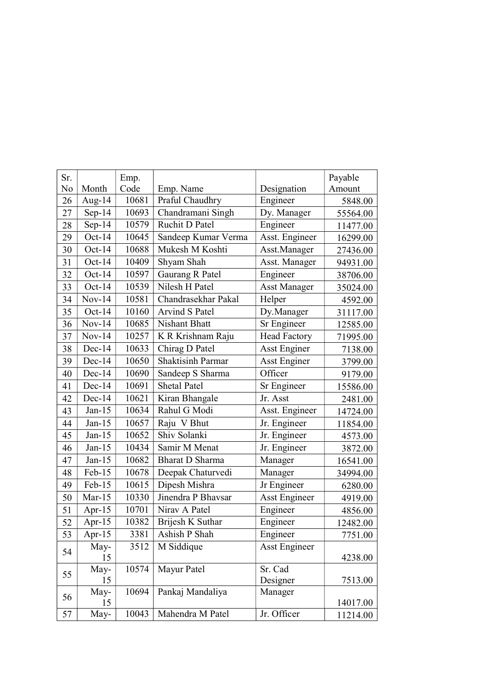| Sr. |           | Emp.  |                       |                      | Payable  |
|-----|-----------|-------|-----------------------|----------------------|----------|
| No  | Month     | Code  | Emp. Name             | Designation          | Amount   |
| 26  | Aug- $14$ | 10681 | Praful Chaudhry       | Engineer             | 5848.00  |
| 27  | $Sep-14$  | 10693 | Chandramani Singh     | Dy. Manager          | 55564.00 |
| 28  | $Sep-14$  | 10579 | Ruchit D Patel        | Engineer             | 11477.00 |
| 29  | Oct- $14$ | 10645 | Sandeep Kumar Verma   | Asst. Engineer       | 16299.00 |
| 30  | $Oct-14$  | 10688 | Mukesh M Koshti       | Asst.Manager         | 27436.00 |
| 31  | $Oct-14$  | 10409 | Shyam Shah            | Asst. Manager        | 94931.00 |
| 32  | $Oct-14$  | 10597 | Gaurang R Patel       | Engineer             | 38706.00 |
| 33  | $Oct-14$  | 10539 | Nilesh H Patel        | <b>Asst Manager</b>  | 35024.00 |
| 34  | $Nov-14$  | 10581 | Chandrasekhar Pakal   | Helper               | 4592.00  |
| 35  | $Oct-14$  | 10160 | <b>Arvind S Patel</b> | Dy.Manager           | 31117.00 |
| 36  | $Nov-14$  | 10685 | Nishant Bhatt         | Sr Engineer          | 12585.00 |
| 37  | $Nov-14$  | 10257 | K R Krishnam Raju     | <b>Head Factory</b>  | 71995.00 |
| 38  | Dec-14    | 10633 | Chirag D Patel        | <b>Asst Enginer</b>  | 7138.00  |
| 39  | $Dec-14$  | 10650 | Shaktisinh Parmar     | <b>Asst Enginer</b>  | 3799.00  |
| 40  | $Dec-14$  | 10690 | Sandeep S Sharma      | Officer              | 9179.00  |
| 41  | $Dec-14$  | 10691 | <b>Shetal Patel</b>   | Sr Engineer          | 15586.00 |
| 42  | Dec-14    | 10621 | Kiran Bhangale        | Jr. Asst             | 2481.00  |
| 43  | $Jan-15$  | 10634 | Rahul G Modi          | Asst. Engineer       | 14724.00 |
| 44  | $Jan-15$  | 10657 | Raju V Bhut           | Jr. Engineer         | 11854.00 |
| 45  | $Jan-15$  | 10652 | Shiv Solanki          | Jr. Engineer         | 4573.00  |
| 46  | $Jan-15$  | 10434 | Samir M Menat         | Jr. Engineer         | 3872.00  |
| 47  | $Jan-15$  | 10682 | Bharat D Sharma       | Manager              | 16541.00 |
| 48  | $Feb-15$  | 10678 | Deepak Chaturvedi     | Manager              | 34994.00 |
| 49  | $Feb-15$  | 10615 | Dipesh Mishra         | Jr Engineer          | 6280.00  |
| 50  | Mar- $15$ | 10330 | Jinendra P Bhavsar    | <b>Asst Engineer</b> | 4919.00  |
| 51  | Apr- $15$ | 10701 | Nirav A Patel         | Engineer             | 4856.00  |
| 52  | Apr- $15$ | 10382 | Brijesh K Suthar      | Engineer             | 12482.00 |
| 53  | Apr- $15$ | 3381  | Ashish P Shah         | Engineer             | 7751.00  |
|     | May-      | 3512  | M Siddique            | Asst Engineer        |          |
| 54  | 15        |       |                       |                      | 4238.00  |
| 55  | May-      | 10574 | Mayur Patel           | Sr. Cad              |          |
|     | 15        |       |                       | Designer             | 7513.00  |
| 56  | May-      | 10694 | Pankaj Mandaliya      | Manager              |          |
|     | 15        |       |                       |                      | 14017.00 |
| 57  | May-      | 10043 | Mahendra M Patel      | Jr. Officer          | 11214.00 |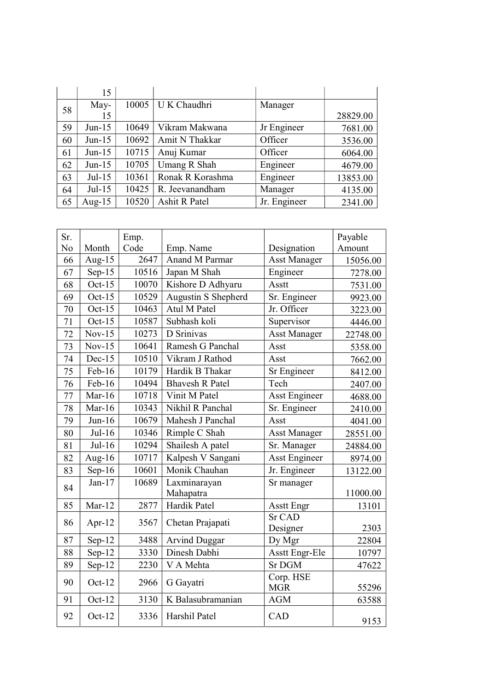|    | 15        |       |                  |              |          |
|----|-----------|-------|------------------|--------------|----------|
| 58 | May-      | 10005 | U K Chaudhri     | Manager      |          |
|    | 15        |       |                  |              | 28829.00 |
| 59 | $Jun-15$  | 10649 | Vikram Makwana   | Jr Engineer  | 7681.00  |
| 60 | $Jun-15$  | 10692 | Amit N Thakkar   | Officer      | 3536.00  |
| 61 | $Jun-15$  | 10715 | Anuj Kumar       | Officer      | 6064.00  |
| 62 | $Jun-15$  | 10705 | Umang R Shah     | Engineer     | 4679.00  |
| 63 | $Jul-15$  | 10361 | Ronak R Korashma | Engineer     | 13853.00 |
| 64 | $Jul-15$  | 10425 | R. Jeevanandham  | Manager      | 4135.00  |
| 65 | Aug- $15$ | 10520 | Ashit R Patel    | Jr. Engineer | 2341.00  |

| Sr. |           | Emp.  |                        |                         | Payable  |
|-----|-----------|-------|------------------------|-------------------------|----------|
| No  | Month     | Code  | Emp. Name              | Designation             | Amount   |
| 66  | Aug- $15$ | 2647  | Anand M Parmar         | <b>Asst Manager</b>     | 15056.00 |
| 67  | $Sep-15$  | 10516 | Japan M Shah           | Engineer                | 7278.00  |
| 68  | Oct- $15$ | 10070 | Kishore D Adhyaru      | Asstt                   | 7531.00  |
| 69  | Oct- $15$ | 10529 | Augustin S Shepherd    | Sr. Engineer            | 9923.00  |
| 70  | Oct- $15$ | 10463 | Atul M Patel           | Jr. Officer             | 3223.00  |
| 71  | Oct- $15$ | 10587 | Subhash koli           | Supervisor              | 4446.00  |
| 72  | $Nov-15$  | 10273 | D Srinivas             | <b>Asst Manager</b>     | 22748.00 |
| 73  | $Nov-15$  | 10641 | Ramesh G Panchal       | Asst                    | 5358.00  |
| 74  | $Dec-15$  | 10510 | Vikram J Rathod        | Asst                    | 7662.00  |
| 75  | $Feb-16$  | 10179 | Hardik B Thakar        | Sr Engineer             | 8412.00  |
| 76  | Feb-16    | 10494 | <b>Bhavesh R Patel</b> | Tech                    | 2407.00  |
| 77  | Mar- $16$ | 10718 | Vinit M Patel          | <b>Asst Engineer</b>    | 4688.00  |
| 78  | Mar- $16$ | 10343 | Nikhil R Panchal       | Sr. Engineer            | 2410.00  |
| 79  | $Jun-16$  | 10679 | Mahesh J Panchal       | Asst                    | 4041.00  |
| 80  | $Jul-16$  | 10346 | Rimple C Shah          | <b>Asst Manager</b>     | 28551.00 |
| 81  | $Jul-16$  | 10294 | Shailesh A patel       | Sr. Manager             | 24884.00 |
| 82  | Aug-16    | 10717 | Kalpesh V Sangani      | <b>Asst Engineer</b>    | 8974.00  |
| 83  | Sep- $16$ | 10601 | Monik Chauhan          | Jr. Engineer            | 13122.00 |
| 84  | $Jan-17$  | 10689 | Laxminarayan           | Sr manager              |          |
|     |           |       | Mahapatra              |                         | 11000.00 |
| 85  | $Mar-12$  | 2877  | Hardik Patel           | <b>Asstt Engr</b>       | 13101    |
| 86  | Apr- $12$ | 3567  | Chetan Prajapati       | <b>Sr CAD</b>           |          |
|     |           |       |                        | Designer                | 2303     |
| 87  | Sep-12    | 3488  | <b>Arvind Duggar</b>   | Dy Mgr                  | 22804    |
| 88  | $Sep-12$  | 3330  | Dinesh Dabhi           | <b>Asstt Engr-Ele</b>   | 10797    |
| 89  | $Sep-12$  | 2230  | V A Mehta              | <b>Sr DGM</b>           | 47622    |
| 90  | $Oct-12$  | 2966  | G Gayatri              | Corp. HSE<br><b>MGR</b> | 55296    |
| 91  | Oct-12    | 3130  | K Balasubramanian      | <b>AGM</b>              | 63588    |
| 92  | $Oct-12$  | 3336  | Harshil Patel          | CAD                     | 9153     |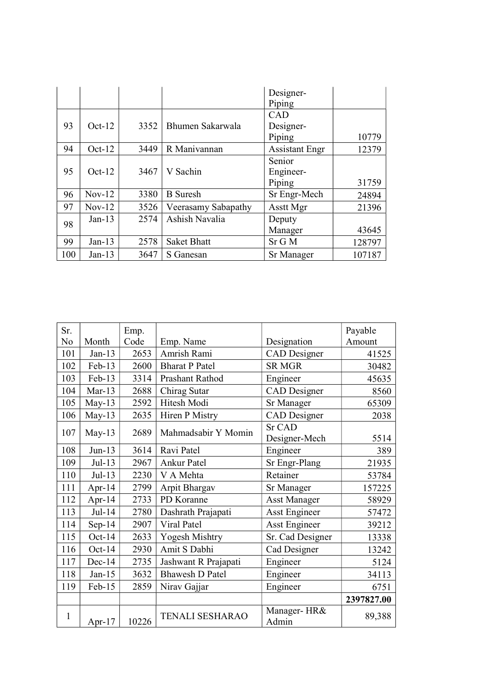|     |          |      |                     | Designer-             |        |
|-----|----------|------|---------------------|-----------------------|--------|
|     |          |      |                     | Piping                |        |
|     |          |      |                     | <b>CAD</b>            |        |
| 93  | $Oct-12$ | 3352 | Bhumen Sakarwala    | Designer-             |        |
|     |          |      |                     | Piping                | 10779  |
| 94  | $Oct-12$ | 3449 | R Manivannan        | <b>Assistant Engr</b> | 12379  |
|     |          |      |                     | Senior                |        |
| 95  | $Oct-12$ | 3467 | V Sachin            | Engineer-             |        |
|     |          |      |                     | Piping                | 31759  |
| 96  | $Nov-12$ | 3380 | <b>B</b> Suresh     | Sr Engr-Mech          | 24894  |
| 97  | $Nov-12$ | 3526 | Veerasamy Sabapathy | Asstt Mgr             | 21396  |
| 98  | $Jan-13$ | 2574 | Ashish Navalia      | Deputy                |        |
|     |          |      |                     | Manager               | 43645  |
| 99  | $Jan-13$ | 2578 | <b>Saket Bhatt</b>  | $Sr$ G M              | 128797 |
| 100 | $Jan-13$ | 3647 | S Ganesan           | Sr Manager            | 107187 |

| Sr.          |           | Emp.  |                        |                      | Payable    |
|--------------|-----------|-------|------------------------|----------------------|------------|
| No           | Month     | Code  | Emp. Name              | Designation          | Amount     |
| 101          | $Jan-13$  | 2653  | Amrish Rami            | CAD Designer         | 41525      |
| 102          | Feb-13    | 2600  | <b>Bharat P Patel</b>  | <b>SR MGR</b>        | 30482      |
| 103          | $Feb-13$  | 3314  | Prashant Rathod        | Engineer             | 45635      |
| 104          | $Mar-13$  | 2688  | Chirag Sutar           | <b>CAD</b> Designer  | 8560       |
| 105          | May-13    | 2592  | Hitesh Modi            | Sr Manager           | 65309      |
| 106          | $May-13$  | 2635  | Hiren P Mistry         | <b>CAD</b> Designer  | 2038       |
|              |           | 2689  | Mahmadsabir Y Momin    | Sr CAD               |            |
| 107          | May- $13$ |       |                        | Designer-Mech        | 5514       |
| 108          | $Jun-13$  | 3614  | Ravi Patel             | Engineer             | 389        |
| 109          | $Jul-13$  | 2967  | <b>Ankur Patel</b>     | Sr Engr-Plang        | 21935      |
| 110          | $Jul-13$  | 2230  | V A Mehta              | Retainer             | 53784      |
| 111          | Apr-14    | 2799  | Arpit Bhargav          | Sr Manager           | 157225     |
| 112          | Apr- $14$ | 2733  | PD Koranne             | <b>Asst Manager</b>  | 58929      |
| 113          | $Jul-14$  | 2780  | Dashrath Prajapati     | <b>Asst Engineer</b> | 57472      |
| 114          | Sep- $14$ | 2907  | Viral Patel            | <b>Asst Engineer</b> | 39212      |
| 115          | $Oct-14$  | 2633  | Yogesh Mishtry         | Sr. Cad Designer     | 13338      |
| 116          | Oct-14    | 2930  | Amit S Dabhi           | Cad Designer         | 13242      |
| 117          | $Dec-14$  | 2735  | Jashwant R Prajapati   | Engineer             | 5124       |
| 118          | $Jan-15$  | 3632  | <b>Bhawesh D Patel</b> | Engineer             | 34113      |
| 119          | Feb-15    | 2859  | Nirav Gajjar           | Engineer             | 6751       |
|              |           |       |                        |                      | 2397827.00 |
| $\mathbf{1}$ | Apr- $17$ | 10226 | <b>TENALI SESHARAO</b> | Manager-HR&<br>Admin | 89,388     |